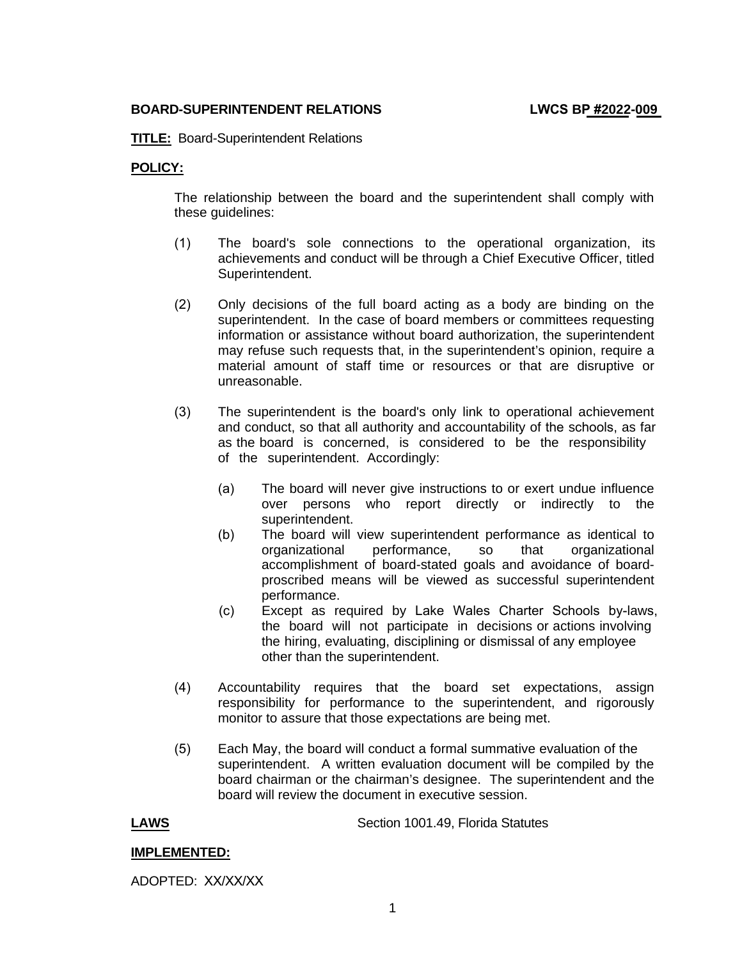### **BOARD-SUPERINTENDENT RELATIONS LWCS BP #2022-009**

**TITLE:** Board-Superintendent Relations

# **POLICY:**

The relationship between the board and the superintendent shall comply with these guidelines:

- (1) The board's sole connections to the operational organization, its achievements and conduct will be through a Chief Executive Officer, titled Superintendent.
- (2) Only decisions of the full board acting as a body are binding on the superintendent. In the case of board members or committees requesting information or assistance without board authorization, the superintendent may refuse such requests that, in the superintendent's opinion, require a material amount of staff time or resources or that are disruptive or unreasonable.
- and conduct, so that all authority and accountability of the schools, as far (3) The superintendent is the board's only link to operational achievement as the board is concerned, is considered to be the responsibility of the superintendent. Accordingly:
	- (a) The board will never give instructions to or exert undue influence over persons who report directly or indirectly to the superintendent.
	- (b) The board will view superintendent performance as identical to organizational performance, so that organizational accomplishment of board-stated goals and avoidance of boardproscribed means will be viewed as successful superintendent performance.
	- (c) Except as required by Lake Wales Charter Schools by-laws, the board will not participate in decisions or actions involving the hiring, evaluating, disciplining or dismissal of any employee other than the superintendent.
- (4) Accountability requires that the board set expectations, assign responsibility for performance to the superintendent, and rigorously monitor to assure that those expectations are being met.
- (5) Each May, the board will conduct a formal summative evaluation of the superintendent. A written evaluation document will be compiled by the board chairman or the chairman's designee. The superintendent and the board will review the document in executive session.

**LAWS** Section 1001.49, Florida Statutes

# **IMPLEMENTED:**

ADOPTED: XX/XX/XX